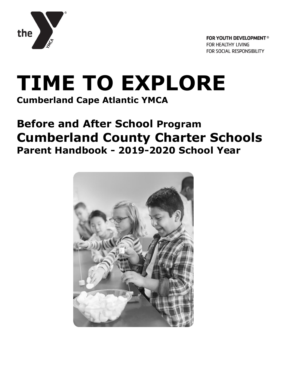

# **TIME TO EXPLORE Cumberland Cape Atlantic YMCA**

## **Before and After School Program Cumberland County Charter Schools Parent Handbook - 2019-2020 School Year**

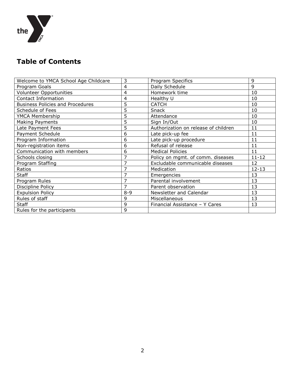

## **Table of Contents**

| Welcome to YMCA School Age Childcare    | 3              | Program Specifics                    | 9         |
|-----------------------------------------|----------------|--------------------------------------|-----------|
| Program Goals                           | 4              | Daily Schedule                       | 9         |
| <b>Volunteer Opportunities</b>          | 4              | Homework time                        | 10        |
| Contact Information                     | 4              | Healthy U                            | 10        |
| <b>Business Policies and Procedures</b> | 5              | <b>CATCH</b>                         | 10        |
| Schedule of Fees                        | 5              | Snack                                | 10        |
| YMCA Membership                         | 5              | Attendance                           | 10        |
| Making Payments                         | 5              | Sign In/Out                          | 10        |
| Late Payment Fees                       | 5              | Authorization on release of children | 11        |
| Payment Schedule                        | 6              | Late pick-up fee                     | 11        |
| Program Information                     | 6              | Late pick-up procedure               | 11        |
| Non-registration items                  | 6              | Refusal of release                   | 11        |
| Communication with members              | 6              | <b>Medical Policies</b>              | 11        |
| Schools closing                         | $\overline{7}$ | Policy on mgmt. of comm. diseases    | $11 - 12$ |
| Program Staffing                        | 7              | Excludable communicable diseases     | 12        |
| Ratios                                  | 7              | Medication                           | $12 - 13$ |
| <b>Staff</b>                            | 7              | Emergencies                          | 13        |
| Program Rules                           | 7              | Parental involvement                 | 13        |
| Discipline Policy                       | 7              | Parent observation                   | 13        |
| <b>Expulsion Policy</b>                 | $8 - 9$        | Newsletter and Calendar              | 13        |
| Rules of staff                          | 9              | Miscellaneous                        | 13        |
| <b>Staff</b>                            | 9              | Financial Assistance - Y Cares       | 13        |
| Rules for the participants              | 9              |                                      |           |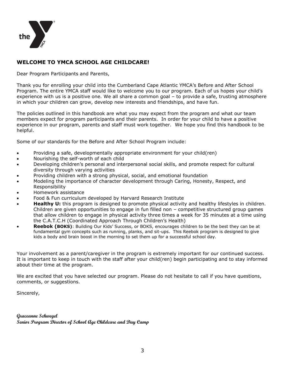

#### **WELCOME TO YMCA SCHOOL AGE CHILDCARE!**

Dear Program Participants and Parents,

Thank you for enrolling your child into the Cumberland Cape Atlantic YMCA's Before and After School Program. The entire YMCA staff would like to welcome you to our program. Each of us hopes your child's experience with us is a positive one. We all share a common goal – to provide a safe, trusting atmosphere in which your children can grow, develop new interests and friendships, and have fun.

The policies outlined in this handbook are what you may expect from the program and what our team members expect for program participants and their parents. In order for your child to have a positive experience in our program, parents and staff must work together. We hope you find this handbook to be helpful.

Some of our standards for the Before and After School Program include:

- Providing a safe, developmentally appropriate environment for your child(ren)
- Nourishing the self-worth of each child
- Developing children's personal and interpersonal social skills, and promote respect for cultural diversity through varying activities
- Providing children with a strong physical, social, and emotional foundation
- Modeling the importance of character development through Caring, Honesty, Respect, and Responsibility
- Homework assistance
- Food & Fun curriculum developed by Harvard Research Institute
- **Healthy U:** this program is designed to promote physical activity and healthy lifestyles in children. Children are given opportunities to engage in fun filled non – competitive structured group games that allow children to engage in physical activity three times a week for 35 minutes at a time using the C.A.T.C.H (Coordinated Approach Through Children's Health)
- **Reebok (BOKS)**: Building Our Kids' Success, or BOKS, encourages children to be the best they can be at fundamental gym concepts such as running, planks, and sit-ups. This Reebok program is designed to give kids a body and brain boost in the morning to set them up for a successful school day.

Your involvement as a parent/caregiver in the program is extremely important for our continued success. It is important to keep in touch with the staff after your child(ren) begin participating and to stay informed about their time at the program.

We are excited that you have selected our program. Please do not hesitate to call if you have questions, comments, or suggestions.

Sincerely,

**Graceanne Schwegel Senior Program Director of School Age Childcare and Day Camp**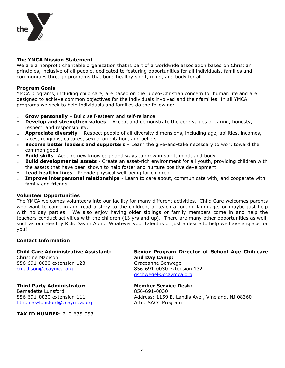

#### **The YMCA Mission Statement**

We are a nonprofit charitable organization that is part of a worldwide association based on Christian principles, inclusive of all people, dedicated to fostering opportunities for all individuals, families and communities through programs that build healthy spirit, mind, and body for all.

#### **Program Goals**

YMCA programs, including child care, are based on the Judeo-Christian concern for human life and are designed to achieve common objectives for the individuals involved and their families. In all YMCA programs we seek to help individuals and families do the following:

- o **Grow personally** Build self-esteem and self-reliance.
- o **Develop and strengthen values** Accept and demonstrate the core values of caring, honesty, respect, and responsibility.
- o **Appreciate diversity** Respect people of all diversity dimensions, including age, abilities, incomes, races, religions, cultures, sexual orientation, and beliefs.
- o **Become better leaders and supporters** Learn the give-and-take necessary to work toward the common good.
- o **Build skills** –Acquire new knowledge and ways to grow in spirit, mind, and body.
- o **Build developmental assets**  Create an asset-rich environment for all youth, providing children with the assets that have been shown to help foster and nurture positive development.
- o **Lead healthy lives**  Provide physical well-being for children.
- o **Improve interpersonal relationships**  Learn to care about, communicate with, and cooperate with family and friends.

#### **Volunteer Opportunities**

The YMCA welcomes volunteers into our facility for many different activities. Child Care welcomes parents who want to come in and read a story to the children, or teach a foreign language, or maybe just help with holiday parties. We also enjoy having older siblings or family members come in and help the teachers conduct activities with the children (13 yrs and up). There are many other opportunities as well, such as our Healthy Kids Day in April. Whatever your talent is or just a desire to help we have a space for you!

#### **Contact Information**

Christine Madison **and Day Camp:** 856-691-0030 extension 123 Graceanne Schwegel [cmadison@ccaymca.org](mailto:cmadison@ccaymca.org) 856-691-0030 extension 132

#### **Third Party Administrator: Member Service Desk:**

Bernadette Lunsford 856-691-0030 [bthomas-lunsford@ccaymca.org](mailto:bthomas-lunsford@ccaymca.org) Attn: SACC Program

**TAX ID NUMBER:** 210-635-053

**Child Care Administrative Assistant: Senior Program Director of School Age Childcare**  [gschwegel@ccaymca.org](mailto:gschwegel@ccaymca.org)

856-691-0030 extension 111 Address: 1159 E. Landis Ave., Vineland, NJ 08360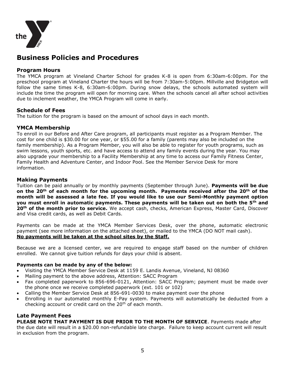

### **Business Policies and Procedures**

#### **Program Hours**

The YMCA program at Vineland Charter School for grades K-8 is open from 6:30am-6:00pm. For the preschool program at Vineland Charter the hours will be from 7:30am-5:00pm. Millville and Bridgeton will follow the same times K-8, 6:30am-6:00pm. During snow delays, the schools automated system will include the time the program will open for morning care. When the schools cancel all after school activities due to inclement weather, the YMCA Program will come in early.

#### **Schedule of Fees**

The tuition for the program is based on the amount of school days in each month.

#### **YMCA Membership**

To enroll in our Before and After Care program, all participants must register as a Program Member. The cost for one child is \$30.00 for one year, or \$55.00 for a family (parents may also be included on the family membership). As a Program Member, you will also be able to register for youth programs, such as swim lessons, youth sports, etc. and have access to attend any family events during the year. You may also upgrade your membership to a Facility Membership at any time to access our Family Fitness Center, Family Health and Adventure Center, and Indoor Pool. See the Member Service Desk for more information.

#### **Making Payments**

Tuition can be paid annually or by monthly payments (September through June). **Payments will be due on the 20th of each month for the upcoming month. Payments received after the 20th of the month will be assessed a late fee. If you would like to use our Semi-Monthly payment option you must enroll in automatic payments. These payments will be taken out on both the 5th and 20th of the month prior to service.** We accept cash, checks, American Express, Master Card, Discover and Visa credit cards, as well as Debit Cards.

Payments can be made at the YMCA Member Services Desk, over the phone, automatic electronic payment (see more information on the attached sheet), or mailed to the YMCA (DO NOT mail cash). **No payments will be taken at the school sites by the Staff.**

Because we are a licensed center, we are required to engage staff based on the number of children enrolled. We cannot give tuition refunds for days your child is absent.

#### **Payments can be made by any of the below:**

- Visiting the YMCA Member Service Desk at 1159 E. Landis Avenue, Vineland, NJ 08360
- Mailing payment to the above address, Attention: SACC Program
- Fax completed paperwork to 856-696-0121, Attention: SACC Program; payment must be made over the phone once we receive completed paperwork (ext. 101 or 102)
- Calling the Member Service Desk at 856-691-0030 to make payment over the phone
- Enrolling in our automated monthly E-Pay system. Payments will automatically be deducted from a checking account or credit card on the 20<sup>th</sup> of each month.

#### **Late Payment Fees**

**PLEASE NOTE THAT PAYMENT IS DUE PRIOR TO THE MONTH OF SERVICE**. Payments made after

the due date will result in a \$20.00 non-refundable late charge. Failure to keep account current will result in exclusion from the program.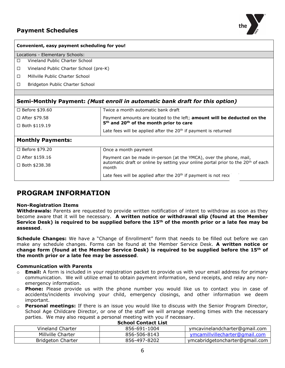

| Convenient, easy payment scheduling for you!                                |                                                                                                                                            |  |  |  |  |
|-----------------------------------------------------------------------------|--------------------------------------------------------------------------------------------------------------------------------------------|--|--|--|--|
| Locations - Elementary Schools:                                             |                                                                                                                                            |  |  |  |  |
| Vineland Public Charter School<br>$\Box$                                    |                                                                                                                                            |  |  |  |  |
| Vineland Public Charter School (pre-K)<br>□                                 |                                                                                                                                            |  |  |  |  |
| Millville Public Charter School<br>$\Box$                                   |                                                                                                                                            |  |  |  |  |
| Bridgeton Public Charter School<br>□                                        |                                                                                                                                            |  |  |  |  |
|                                                                             |                                                                                                                                            |  |  |  |  |
| Semi-Monthly Payment: (Must enroll in automatic bank draft for this option) |                                                                                                                                            |  |  |  |  |
| □ Before \$39.60                                                            | Twice a month automatic bank draft                                                                                                         |  |  |  |  |
| □ After \$79.58                                                             | Payment amounts are located to the left; amount will be deducted on the<br>5 <sup>th</sup> and 20 <sup>th</sup> of the month prior to care |  |  |  |  |
| $\Box$ Both \$119.19                                                        | Late fees will be applied after the $20th$ if payment is returned                                                                          |  |  |  |  |
| <b>Monthly Payments:</b>                                                    |                                                                                                                                            |  |  |  |  |
| $\Box$ Before \$79.20                                                       | Once a month payment                                                                                                                       |  |  |  |  |
| $\Box$ After \$159.16                                                       | Payment can be made in-person (at the YMCA), over the phone, mail,                                                                         |  |  |  |  |
| $\Box$ Both \$238.38                                                        | automatic draft or online by setting your online portal prior to the 20 <sup>th</sup> of each<br>month                                     |  |  |  |  |
|                                                                             | Late fees will be applied after the 20 <sup>th</sup> if payment is not rece                                                                |  |  |  |  |
|                                                                             |                                                                                                                                            |  |  |  |  |

### **PROGRAM INFORMATION**

#### **Non-Registration Items**

**Withdrawals:** Parents are requested to provide written notification of intent to withdraw as soon as they become aware that it will be necessary. **A written notice or withdrawal slip (found at the Member Service Desk) is required to be supplied before the 15th of the month prior or a late fee may be assessed**.

**Schedule Changes:** We have a "Change of Enrollment" form that needs to be filled out before we can make any schedule changes. Forms can be found at the Member Service Desk. **A written notice or change form (found at the Member Service Desk) is required to be supplied before the 15th of the month prior or a late fee may be assessed**.

#### **Communication with Parents**

- o **Email:** A form is included in your registration packet to provide us with your email address for primary communication. We will utilize email to obtain payment information, send receipts, and relay any nonemergency information.
- o **Phone:** Please provide us with the phone number you would like us to contact you in case of accidents/incidents involving your child, emergency closings, and other information we deem important.
- o **Personal meetings:** If there is an issue you would like to discuss with the Senior Program Director, School Age Childcare Director, or one of the staff we will arrange meeting times with the necessary parties. We may also request a personal meeting with you if necessary.

| <b>Benovi Contact List</b> |              |                                |  |  |  |
|----------------------------|--------------|--------------------------------|--|--|--|
| Vineland Charter           | 856-691-1004 | ymcavinelandcharter@gmail.com  |  |  |  |
| Millville Charter          | 856-506-8143 | ymcamillvillecharter@gmail.com |  |  |  |
| Bridgeton Charter          | 856-497-8202 | ymcabridgetoncharter@gmail.com |  |  |  |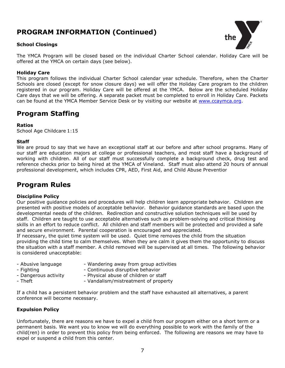### **PROGRAM INFORMATION (Continued)**

#### **School Closings**



The YMCA Program will be closed based on the individual Charter School calendar. Holiday Care will be offered at the YMCA on certain days (see below).

#### **Holiday Care**

This program follows the individual Charter School calendar year schedule. Therefore, when the Charter Schools are closed (except for snow closure days) we will offer the Holiday Care program to the children registered in our program. Holiday Care will be offered at the YMCA. Below are the scheduled Holiday Care days that we will be offering. A separate packet must be completed to enroll in Holiday Care. Packets can be found at the YMCA Member Service Desk or by visiting our website at [www.ccaymca.org.](http://www.ccaymca.org/)

### **Program Staffing**

#### **Ratios**

School Age Childcare 1:15

#### **Staff**

We are proud to say that we have an exceptional staff at our before and after school programs. Many of our staff are education majors at college or professional teachers, and most staff have a background of working with children. All of our staff must successfully complete a background check, drug test and reference checks prior to being hired at the YMCA of Vineland. Staff must also attend 20 hours of annual professional development, which includes CPR, AED, First Aid, and Child Abuse Prevention.

### **Program Rules**

#### **Discipline Policy**

Our positive guidance policies and procedures will help children learn appropriate behavior. Children are presented with positive models of acceptable behavior. Behavior guidance standards are based upon the developmental needs of the children. Redirection and constructive solution techniques will be used by staff. Children are taught to use acceptable alternatives such as problem-solving and critical thinking skills in an effort to reduce conflict. All children and staff members will be protected and provided a safe and secure environment. Parental cooperation is encouraged and appreciated.

If necessary, the quiet time system will be used. Quiet time removes the child from the situation providing the child time to calm themselves. When they are calm it gives them the opportunity to discuss the situation with a staff member. A child removed will be supervised at all times. The following behavior is considered unacceptable:

- 
- Abusive language Wandering away from group activities
- 
- Fighting  **Continuous disruptive behavior**
- Dangerous activity Physical abuse of children or staff
- Theft Vandalism/mistreatment of property

If a child has a persistent behavior problem and the staff have exhausted all alternatives, a parent conference will become necessary.

#### **Expulsion Policy**

Unfortunately, there are reasons we have to expel a child from our program either on a short term or a permanent basis. We want you to know we will do everything possible to work with the family of the child(ren) in order to prevent this policy from being enforced. The following are reasons we may have to expel or suspend a child from this center.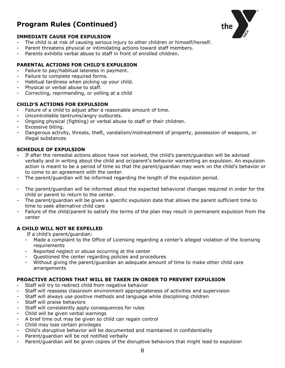### **Program Rules (Continued)**



#### **IMMEDIATE CAUSE FOR EXPULSION**

- The child is at risk of causing serious injury to other children or himself/herself.
- Parent threatens physical or intimidating actions toward staff members.
- Parents exhibits verbal abuse to staff in front of enrolled children.

#### **PARENTAL ACTIONS FOR CHILD'S EXPULSION**

- Failure to pay/habitual lateness in payment.
- Failure to complete required forms.
- Habitual tardiness when picking up your child.
- Physical or verbal abuse to staff.
- Correcting, reprimanding, or yelling at a child

#### **CHILD'S ACTIONS FOR EXPULSION**

- Failure of a child to adjust after a reasonable amount of time.
- Uncontrollable tantrums/angry outbursts.
- Ongoing physical (fighting) or verbal abuse to staff or their children.
- Excessive biting.
- Dangerous activity, threats, theft, vandalism/mistreatment of property, possession of weapons, or illegal substances

#### **SCHEDULE OF EXPULSION**

- If after the remedial actions above have not worked, the child's parent/quardian will be advised verbally and in writing about the child and or/parent's behavior warranting an expulsion. An expulsion action is meant to be a period of time so that the parent/guardian may work on the child's behavior or to come to an agreement with the center.
- The parent/quardian will be informed regarding the length of the expulsion period.
- The parent/guardian will be informed about the expected behavioral changes required in order for the child or parent to return to the center.
- The parent/guardian will be given a specific expulsion date that allows the parent sufficient time to time to seek alternative child care
- Failure of the child/parent to satisfy the terms of the plan may result in permanent expulsion from the center

#### **A CHILD WILL NOT BE EXPELLED**

- If a child's parent/guardian:
- Made a complaint to the Office of Licensing regarding a center's alleged violation of the licensing requirements
- Reported neglect or abuse occurring at the center
- Questioned the center regarding policies and procedures
- Without giving the parent/guardian an adequate amount of time to make other child care arrangements

#### **PROACTIVE ACTIONS THAT WILL BE TAKEN IN ORDER TO PREVENT EXPULSION**

- Staff will try to redirect child from negative behavior
- Staff will reassess classroom environment appropriateness of activities and supervision
- Staff will always use positive methods and language while disciplining children
- Staff will praise behaviors
- Staff will consistently apply consequences for rules
- Child will be given verbal warnings
- A brief time out may be given so child can regain control
- Child may lose certain privileges
- Child's disruptive behavior will be documented and maintained in confidentiality
- Parent/guardian will be not notified verbally
- Parent/guardian will be given copies of the disruptive behaviors that might lead to expulsion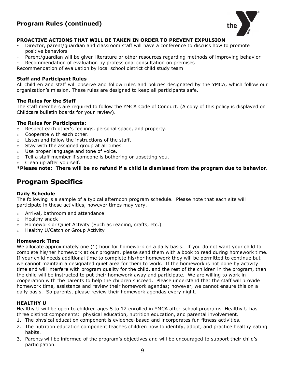### **Program Rules (continued)**



#### **PROACTIVE ACTIONS THAT WILL BE TAKEN IN ORDER TO PREVENT EXPULSION**

- Director, parent/guardian and classroom staff will have a conference to discuss how to promote positive behaviors
- Parent/guardian will be given literature or other resources regarding methods of improving behavior
- Recommendation of evaluation by professional consultation on premises

Recommendation of evaluation by local school district child study team

#### **Staff and Participant Rules**

All children and staff will observe and follow rules and policies designated by the YMCA, which follow our organization's mission. These rules are designed to keep all participants safe.

#### **The Rules for the Staff**

The staff members are required to follow the YMCA Code of Conduct. (A copy of this policy is displayed on Childcare bulletin boards for your review).

#### **The Rules for Participants:**

- o Respect each other's feelings, personal space, and property.
- o Cooperate with each other.
- $\circ$  Listen and follow the instructions of the staff.
- o Stay with the assigned group at all times.
- o Use proper language and tone of voice.
- o Tell a staff member if someone is bothering or upsetting you.
- o Clean up after yourself.

**\*Please note: There will be no refund if a child is dismissed from the program due to behavior.**

### **Program Specifics**

#### **Daily Schedule**

The following is a sample of a typical afternoon program schedule. Please note that each site will participate in these activities, however times may vary.

- o Arrival, bathroom and attendance
- o Healthy snack
- o Homework or Quiet Activity (Such as reading, crafts, etc.)
- o Healthy U/Catch or Group Activity

#### **Homework Time**

We allocate approximately one (1) hour for homework on a daily basis. If you do not want your child to complete his/her homework at our program, please send them with a book to read during homework time. If your child needs additional time to complete his/her homework they will be permitted to continue but we cannot maintain a designated quiet area for them to work. If the homework is not done by activity time and will interfere with program quality for the child, and the rest of the children in the program, then the child will be instructed to put their homework away and participate. We are willing to work in cooperation with the parents to help the children succeed. Please understand that the staff will provide homework time, assistance and review their homework agendas; however, we cannot ensure this on a daily basis. So parents, please review their homework agendas every night.

#### **HEALTHY U**

Healthy U will be open to children ages 5 to 12 enrolled in YMCA after-school programs. Healthy U has three distinct components: physical education, nutrition education, and parental involvement.

- 1. The physical education component is evidence-based and incorporates fun fitness activities.
- 2. The nutrition education component teaches children how to identify, adopt, and practice healthy eating habits.
- 3. Parents will be informed of the program's objectives and will be encouraged to support their child's participation.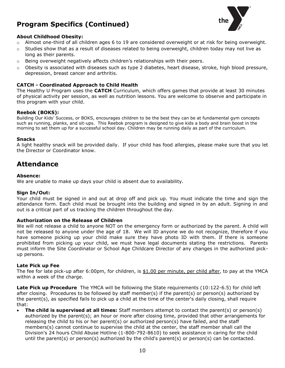### **Program Specifics (Continued)**



#### **About Childhood Obesity:**

- $\circ$  Almost one-third of all children ages 6 to 19 are considered overweight or at risk for being overweight.
- $\circ$  Studies show that as a result of diseases related to being overweight, children today may not live as long as their parents.
- $\circ$  Being overweight negatively affects children's relationships with their peers.
- $\circ$  Obesity is associated with diseases such as type 2 diabetes, heart disease, stroke, high blood pressure, depression, breast cancer and arthritis.

#### **CATCH - Coordinated Approach to Child Health**

The Healthy U Program uses the **CATCH** Curriculum, which offers games that provide at least 30 minutes of physical activity per session, as well as nutrition lessons. You are welcome to observe and participate in this program with your child.

#### **Reebok (BOKS):**

Building Our Kids' Success, or BOKS, encourages children to be the best they can be at fundamental gym concepts such as running, planks, and sit-ups. This Reebok program is designed to give kids a body and brain boost in the morning to set them up for a successful school day. Children may be running daily as part of the curriculum.

#### **Snacks**

A light healthy snack will be provided daily. If your child has food allergies, please make sure that you let the Director or Coordinator know.

### **Attendance**

#### **Absence:**

We are unable to make up days your child is absent due to availability.

#### **Sign In/Out:**

Your child must be signed in and out at drop off and pick up. You must indicate the time and sign the attendance form. Each child must be brought into the building and signed in by an adult. Signing in and out is a critical part of us tracking the children throughout the day.

#### **Authorization on the Release of Children**

We will not release a child to anyone NOT on the emergency form or authorized by the parent. A child will not be released to anyone under the age of 18. We will ID anyone we do not recognize, therefore if you have someone picking up your child make sure they have photo ID with them. If there is someone prohibited from picking up your child, we must have legal documents stating the restrictions. Parents must inform the Site Coordinator or School Age Childcare Director of any changes in the authorized pickup persons.

#### **Late Pick up Fee**

The fee for late pick-up after 6:00pm, for children, is \$1.00 per minute, per child after, to pay at the YMCA within a week of the charge.

**Late Pick up Procedure** The YMCA will be following the State requirements (10:122-6.5) for child left after closing. Procedures to be followed by staff member(s) if the parent(s) or person(s) authorized by the parent(s), as specified fails to pick up a child at the time of the center's daily closing, shall require that:

 **The child is supervised at all times:** Staff members attempt to contact the parent(s) or person(s) authorized by the parent(s); an hour or more after closing time, provided that other arrangements for releasing the child to his or her parent(s) or authorized person(s) have failed, and the staff members(s) cannot continue to supervise the child at the center, the staff member shall call the Division's 24 hours Child Abuse Hotline (1-800-792-8610) to seek assistance in caring for the child until the parent(s) or person(s) authorized by the child's parent(s) or person(s) can be contacted.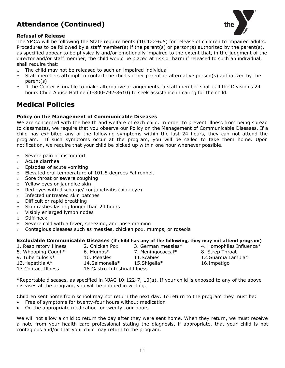### **Attendance (Continued)**



#### **Refusal of Release**

The YMCA will be following the State requirements (10:122-6.5) for release of children to impaired adults. Procedures to be followed by a staff member(s) if the parent(s) or person(s) authorized by the parent(s), as specified appear to be physically and/or emotionally impaired to the extent that, in the judgment of the director and/or staff member, the child would be placed at risk or harm if released to such an individual, shall require that:

- $\circ$  The child may not be released to such an impaired individual
- $\circ$  Staff members attempt to contact the child's other parent or alternative person(s) authorized by the parent(s)
- $\circ$  If the Center is unable to make alternative arrangements, a staff member shall call the Division's 24 hours Child Abuse Hotline (1-800-792-8610) to seek assistance in caring for the child.

### **Medical Policies**

#### **Policy on the Management of Communicable Diseases**

We are concerned with the health and welfare of each child. In order to prevent illness from being spread to classmates, we require that you observe our Policy on the Management of Communicable Diseases. If a child has exhibited any of the following symptoms within the last 24 hours, they can not attend the program. If such symptoms occur at the program, you will be called to take them home. Upon notification, we require that your child be picked up within one hour whenever possible.

- o Severe pain or discomfort
- o Acute diarrhea
- o Episodes of acute vomiting
- o Elevated oral temperature of 101.5 degrees Fahrenheit
- o Sore throat or severe coughing
- o Yellow eyes or jaundice skin
- o Red eyes with discharge/ conjunctivitis (pink eye)
- o Infected untreated skin patches
- o Difficult or rapid breathing
- o Skin rashes lasting longer than 24 hours
- o Visibly enlarged lymph nodes
- o Stiff neck
- $\circ$  Severe cold with a fever, sneezing, and nose draining
- $\circ$  Contagious diseases such as measles, chicken pox, mumps, or roseola

#### **Excludable Communicable Diseases (if child has any of the following, they may not attend program)**

| 1. Respiratory Illness | 2. Chicken Pox                | 3. German measles*         | 4. Homophiles Influenza* |
|------------------------|-------------------------------|----------------------------|--------------------------|
| 5. Whooping Cough*     | 6. Mumps*                     | 7. Meningococcal*          | 8. Strep Throat          |
| 9. Tuberculosis*       | 10. Measles                   | 11. Scabies                | 12. Guardia Lambia $*$   |
| 13. Hepatitis $A^*$    | 14.Salmonella*                | 15. Shi qella <sup>*</sup> | 16.Impetigo              |
| 17. Contact Illness    | 18. Gastro-Intestinal Illness |                            |                          |

\*Reportable diseases, as specified in NJAC 10:122-7, 10(a). If your child is exposed to any of the above diseases at the program, you will be notified in writing.

Children sent home from school may not return the next day. To return to the program they must be:

- Free of symptoms for twenty-four hours without medication
- On the appropriate medication for twenty-four hours

We will not allow a child to return the day after they were sent home. When they return, we must receive a note from your health care professional stating the diagnosis, if appropriate, that your child is not contagious and/or that your child may return to the program.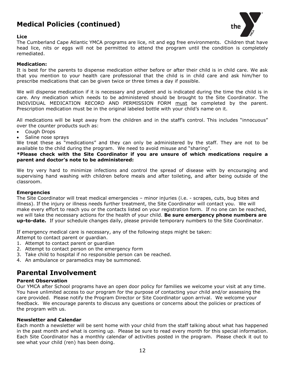### **Medical Policies (continued)**



#### **Lice**

The Cumberland Cape Atlantic YMCA programs are lice, nit and egg free environments. Children that have head lice, nits or eggs will not be permitted to attend the program until the condition is completely remediated.

#### **Medication:**

It is best for the parents to dispense medication either before or after their child is in child care. We ask that you mention to your health care professional that the child is in child care and ask him/her to prescribe medications that can be given twice or three times a day if possible.

We will dispense medication if it is necessary and prudent and is indicated during the time the child is in care. Any medication which needs to be administered should be brought to the Site Coordinator. The INDIVIDUAL MEDICATION RECORD AND PERMISSION FORM must be completed by the parent. Prescription medication must be in the original labeled bottle with your child's name on it.

All medications will be kept away from the children and in the staff's control. This includes "innocuous" over the counter products such as:

- Cough Drops
- Saline nose sprays

We treat these as "medications" and they can only be administered by the staff. They are not to be available to the child during the program. We need to avoid misuse and "sharing".

**\*Please check with the Site Coordinator if you are unsure of which medications require a parent and doctor's note to be administered:** 

We try very hard to minimize infections and control the spread of disease with by encouraging and supervising hand washing with children before meals and after toileting, and after being outside of the classroom.

#### **Emergencies**

The Site Coordinator will treat medical emergencies – minor injuries (i.e. - scrapes, cuts, bug bites and illness). If the injury or illness needs further treatment, the Site Coordinator will contact you. We will make every effort to reach you or the contacts listed on your registration form. If no one can be reached, we will take the necessary actions for the health of your child. **Be sure emergency phone numbers are up-to-date.** If your schedule changes daily, please provide temporary numbers to the Site Coordinator.

If emergency medical care is necessary, any of the following steps might be taken:

Attempt to contact parent or guardian.

- 1. Attempt to contact parent or guardian
- 2. Attempt to contact person on the emergency form
- 3. Take child to hospital if no responsible person can be reached.
- 4. An ambulance or paramedics may be summoned.

### **Parental Involvement**

#### **Parent Observation**

Our YMCA after School programs have an open door policy for families we welcome your visit at any time. You have unlimited access to our program for the purpose of contacting your child and/or assessing the care provided. Please notify the Program Director or Site Coordinator upon arrival. We welcome your feedback. We encourage parents to discuss any questions or concerns about the policies or practices of the program with us.

#### **Newsletter and Calendar**

Each month a newsletter will be sent home with your child from the staff talking about what has happened in the past month and what is coming up. Please be sure to read every month for this special information. Each Site Coordinator has a monthly calendar of activities posted in the program. Please check it out to see what your child (ren) has been doing.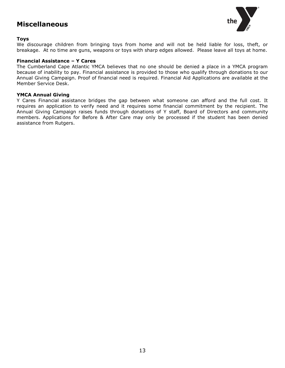### **Miscellaneous**



#### **Toys**

We discourage children from bringing toys from home and will not be held liable for loss, theft, or breakage. At no time are guns, weapons or toys with sharp edges allowed. Please leave all toys at home.

#### **Financial Assistance – Y Cares**

The Cumberland Cape Atlantic YMCA believes that no one should be denied a place in a YMCA program because of inability to pay. Financial assistance is provided to those who qualify through donations to our Annual Giving Campaign. Proof of financial need is required. Financial Aid Applications are available at the Member Service Desk.

#### **YMCA Annual Giving**

Y Cares Financial assistance bridges the gap between what someone can afford and the full cost. It requires an application to verify need and it requires some financial commitment by the recipient. The Annual Giving Campaign raises funds through donations of Y staff, Board of Directors and community members. Applications for Before & After Care may only be processed if the student has been denied assistance from Rutgers.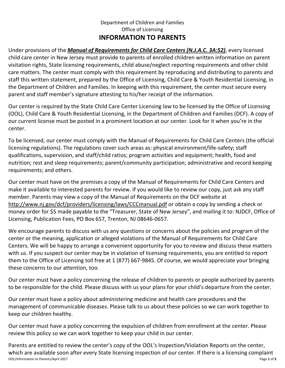### Department of Children and Families Office of Licensing **INFORMATION TO PARENTS**

Under provisions of the *Manual of Requirements for Child Care Centers (N.J.A.C. 3A:52)*, every licensed child care center in New Jersey must provide to parents of enrolled children written information on parent visitation rights, State licensing requirements, child abuse/neglect reporting requirements and other child care matters. The center must comply with this requirement by reproducing and distributing to parents and staff this written statement, prepared by the Office of Licensing, Child Care & Youth Residential Licensing, in the Department of Children and Families. In keeping with this requirement, the center must secure every parent and staff member's signature attesting to his/her receipt of the information.

Our center is required by the State Child Care Center Licensing law to be licensed by the Office of Licensing (OOL), Child Care & Youth Residential Licensing, in the Department of Children and Families (DCF). A copy of our current license must be posted in a prominent location at our center. Look for it when you're in the center.

To be licensed, our center must comply with the Manual of Requirements for Child Care Centers (the official licensing regulations). The regulations cover such areas as: physical environment/life-safety; staff qualifications, supervision, and staff/child ratios; program activities and equipment; health, food and nutrition; rest and sleep requirements; parent/community participation; administrative and record keeping requirements; and others.

Our center must have on the premises a copy of the Manual of Requirements for Child Care Centers and make it available to interested parents for review. If you would like to review our copy, just ask any staff member. Parents may view a copy of the Manual of Requirements on the DCF website at <http://www.nj.gov/dcf/providers/licensing/laws/CCCmanual.pdf>or obtain a copy by sending a check or money order for \$5 made payable to the "Treasurer, State of New Jersey", and mailing it to: NJDCF, Office of Licensing, Publication Fees, PO Box 657, Trenton, NJ 08646-0657.

We encourage parents to discuss with us any questions or concerns about the policies and program of the center or the meaning, application or alleged violations of the Manual of Requirements for Child Care Centers. We will be happy to arrange a convenient opportunity for you to review and discuss these matters with us. If you suspect our center may be in violation of licensing requirements, you are entitled to report them to the Office of Licensing toll free at 1 (877) 667-9845. Of course, we would appreciate your bringing these concerns to our attention, too.

Our center must have a policy concerning the release of children to parents or people authorized by parents to be responsible for the child. Please discuss with us your plans for your child's departure from the center.

Our center must have a policy about administering medicine and health care procedures and the management of communicable diseases. Please talk to us about these policies so we can work together to keep our children healthy.

Our center must have a policy concerning the expulsion of children from enrollment at the center. Please review this policy so we can work together to keep your child in our center.

OOL/Information to Parents/April 2017 Page **1** of **2** Parents are entitled to review the center's copy of the OOL's Inspection/Violation Reports on the center, which are available soon after every State licensing inspection of our center. If there is a licensing complaint